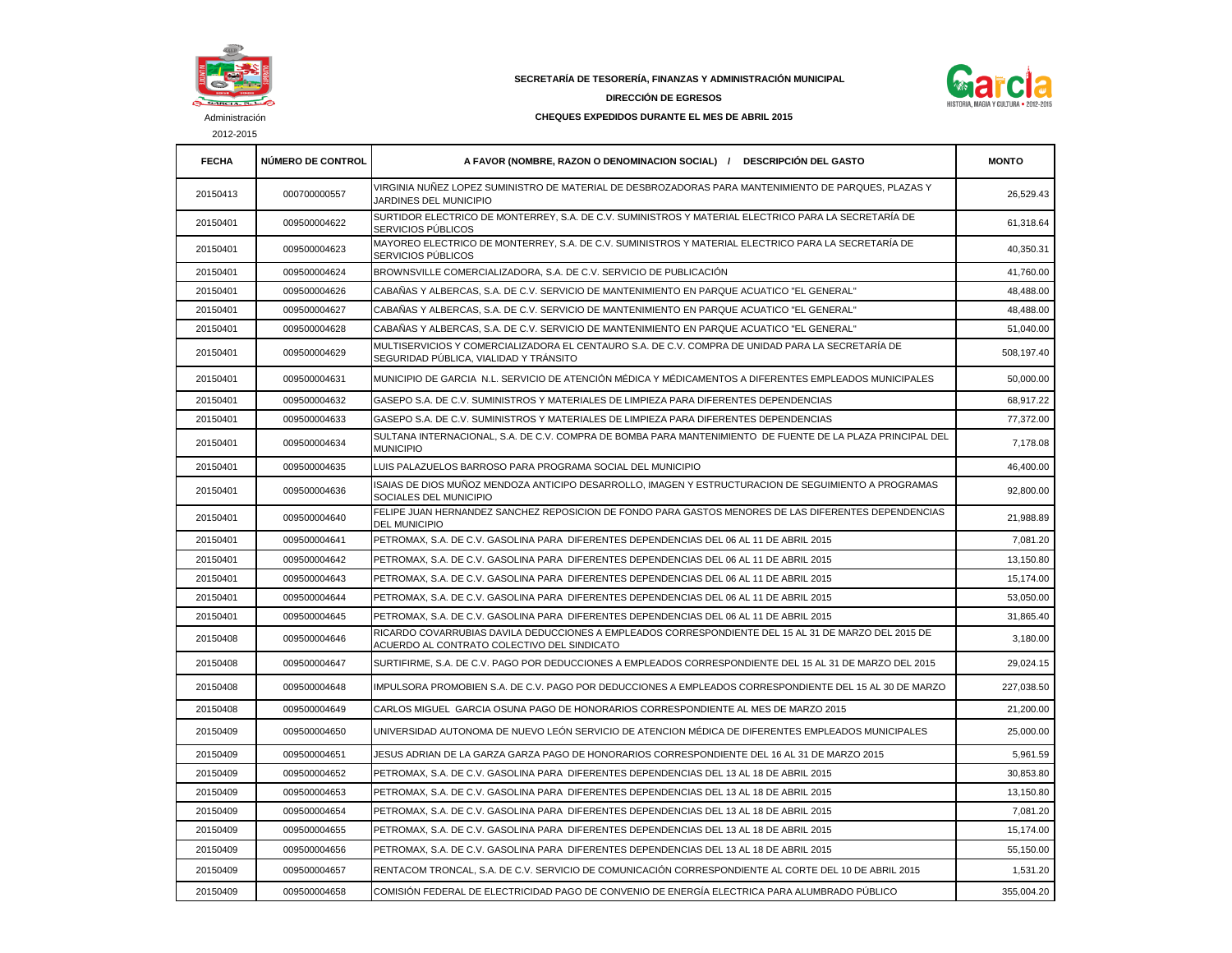

2012-2015

## **SECRETARÍA DE TESORERÍA, FINANZAS Y ADMINISTRACIÓN MUNICIPAL**

## **DIRECCIÓN DE EGRESOS**



## **CHEQUES EXPEDIDOS DURANTE EL MES DE ABRIL 2015**

| <b>FECHA</b> | <b>NUMERO DE CONTROL</b> | A FAVOR (NOMBRE, RAZON O DENOMINACION SOCIAL) / DESCRIPCIÓN DEL GASTO                                                                               | <b>MONTO</b> |
|--------------|--------------------------|-----------------------------------------------------------------------------------------------------------------------------------------------------|--------------|
| 20150413     | 000700000557             | VIRGINIA NUÑEZ LOPEZ SUMINISTRO DE MATERIAL DE DESBROZADORAS PARA MANTENIMIENTO DE PARQUES, PLAZAS Y<br>JARDINES DEL MUNICIPIO                      | 26,529.43    |
| 20150401     | 009500004622             | SURTIDOR ELECTRICO DE MONTERREY, S.A. DE C.V. SUMINISTROS Y MATERIAL ELECTRICO PARA LA SECRETARÍA DE<br>SERVICIOS PÚBLICOS                          | 61.318.64    |
| 20150401     | 009500004623             | MAYOREO ELECTRICO DE MONTERREY, S.A. DE C.V. SUMINISTROS Y MATERIAL ELECTRICO PARA LA SECRETARÍA DE<br>SERVICIOS PÚBLICOS                           | 40,350.31    |
| 20150401     | 009500004624             | BROWNSVILLE COMERCIALIZADORA, S.A. DE C.V. SERVICIO DE PUBLICACIÓN                                                                                  | 41,760.00    |
| 20150401     | 009500004626             | CABAÑAS Y ALBERCAS, S.A. DE C.V. SERVICIO DE MANTENIMIENTO EN PARQUE ACUATICO "EL GENERAL"                                                          | 48,488.00    |
| 20150401     | 009500004627             | CABAÑAS Y ALBERCAS. S.A. DE C.V. SERVICIO DE MANTENIMIENTO EN PARQUE ACUATICO "EL GENERAL"                                                          | 48,488.00    |
| 20150401     | 009500004628             | CABAÑAS Y ALBERCAS, S.A. DE C.V. SERVICIO DE MANTENIMIENTO EN PARQUE ACUATICO "EL GENERAL"                                                          | 51,040.00    |
| 20150401     | 009500004629             | MULTISERVICIOS Y COMERCIALIZADORA EL CENTAURO S.A. DE C.V. COMPRA DE UNIDAD PARA LA SECRETARÍA DE<br>SEGURIDAD PÚBLICA, VIALIDAD Y TRÁNSITO         | 508,197.40   |
| 20150401     | 009500004631             | MUNICIPIO DE GARCIA  N.L. SERVICIO DE ATENCIÓN MÉDICA Y MÉDICAMENTOS A DIFERENTES EMPLEADOS MUNICIPALES                                             | 50,000.00    |
| 20150401     | 009500004632             | GASEPO S.A. DE C.V. SUMINISTROS Y MATERIALES DE LIMPIEZA PARA DIFERENTES DEPENDENCIAS                                                               | 68,917.22    |
| 20150401     | 009500004633             | GASEPO S.A. DE C.V. SUMINISTROS Y MATERIALES DE LIMPIEZA PARA DIFERENTES DEPENDENCIAS                                                               | 77,372.00    |
| 20150401     | 009500004634             | SULTANA INTERNACIONAL. S.A. DE C.V. COMPRA DE BOMBA PARA MANTENIMIENTO DE FUENTE DE LA PLAZA PRINCIPAL DEL<br><b>MUNICIPIO</b>                      | 7,178.08     |
| 20150401     | 009500004635             | LUIS PALAZUELOS BARROSO PARA PROGRAMA SOCIAL DEL MUNICIPIO                                                                                          | 46,400.00    |
| 20150401     | 009500004636             | ISAIAS DE DIOS MUÑOZ MENDOZA ANTICIPO DESARROLLO. IMAGEN Y ESTRUCTURACION DE SEGUIMIENTO A PROGRAMAS<br>SOCIALES DEL MUNICIPIO                      | 92,800.00    |
| 20150401     | 009500004640             | FELIPE JUAN HERNANDEZ SANCHEZ REPOSICION DE FONDO PARA GASTOS MENORES DE LAS DIFERENTES DEPENDENCIAS<br><b>DEL MUNICIPIO</b>                        | 21,988.89    |
| 20150401     | 009500004641             | PETROMAX, S.A. DE C.V. GASOLINA PARA DIFERENTES DEPENDENCIAS DEL 06 AL 11 DE ABRIL 2015                                                             | 7,081.20     |
| 20150401     | 009500004642             | PETROMAX, S.A. DE C.V. GASOLINA PARA DIFERENTES DEPENDENCIAS DEL 06 AL 11 DE ABRIL 2015                                                             | 13,150.80    |
| 20150401     | 009500004643             | PETROMAX, S.A. DE C.V. GASOLINA PARA DIFERENTES DEPENDENCIAS DEL 06 AL 11 DE ABRIL 2015                                                             | 15,174.00    |
| 20150401     | 009500004644             | PETROMAX, S.A. DE C.V. GASOLINA PARA DIFERENTES DEPENDENCIAS DEL 06 AL 11 DE ABRIL 2015                                                             | 53,050.00    |
| 20150401     | 009500004645             | PETROMAX, S.A. DE C.V. GASOLINA PARA DIFERENTES DEPENDENCIAS DEL 06 AL 11 DE ABRIL 2015                                                             | 31,865.40    |
| 20150408     | 009500004646             | RICARDO COVARRUBIAS DAVILA DEDUCCIONES A EMPLEADOS CORRESPONDIENTE DEL 15 AL 31 DE MARZO DEL 2015 DE<br>ACUERDO AL CONTRATO COLECTIVO DEL SINDICATO | 3,180.00     |
| 20150408     | 009500004647             | SURTIFIRME, S.A. DE C.V. PAGO POR DEDUCCIONES A EMPLEADOS CORRESPONDIENTE DEL 15 AL 31 DE MARZO DEL 2015                                            | 29,024.15    |
| 20150408     | 009500004648             | IMPULSORA PROMOBIEN S.A. DE C.V. PAGO POR DEDUCCIONES A EMPLEADOS CORRESPONDIENTE DEL 15 AL 30 DE MARZO                                             | 227,038.50   |
| 20150408     | 009500004649             | CARLOS MIGUEL GARCIA OSUNA PAGO DE HONORARIOS CORRESPONDIENTE AL MES DE MARZO 2015                                                                  | 21,200.00    |
| 20150409     | 009500004650             | UNIVERSIDAD AUTONOMA DE NUEVO LEÓN SERVICIO DE ATENCION MÉDICA DE DIFERENTES EMPLEADOS MUNICIPALES                                                  | 25,000.00    |
| 20150409     | 009500004651             | JESUS ADRIAN DE LA GARZA GARZA PAGO DE HONORARIOS CORRESPONDIENTE DEL 16 AL 31 DE MARZO 2015                                                        | 5,961.59     |
| 20150409     | 009500004652             | PETROMAX, S.A. DE C.V. GASOLINA PARA DIFERENTES DEPENDENCIAS DEL 13 AL 18 DE ABRIL 2015                                                             | 30,853.80    |
| 20150409     | 009500004653             | PETROMAX, S.A. DE C.V. GASOLINA PARA DIFERENTES DEPENDENCIAS DEL 13 AL 18 DE ABRIL 2015                                                             | 13,150.80    |
| 20150409     | 009500004654             | PETROMAX, S.A. DE C.V. GASOLINA PARA DIFERENTES DEPENDENCIAS DEL 13 AL 18 DE ABRIL 2015                                                             | 7,081.20     |
| 20150409     | 009500004655             | PETROMAX, S.A. DE C.V. GASOLINA PARA DIFERENTES DEPENDENCIAS DEL 13 AL 18 DE ABRIL 2015                                                             | 15,174.00    |
| 20150409     | 009500004656             | PETROMAX, S.A. DE C.V. GASOLINA PARA  DIFERENTES DEPENDENCIAS DEL 13 AL 18 DE ABRIL 2015                                                            | 55,150.00    |
| 20150409     | 009500004657             | RENTACOM TRONCAL, S.A. DE C.V. SERVICIO DE COMUNICACIÓN CORRESPONDIENTE AL CORTE DEL 10 DE ABRIL 2015                                               | 1,531.20     |
| 20150409     | 009500004658             | COMISIÓN FEDERAL DE ELECTRICIDAD PAGO DE CONVENIO DE ENERGÍA ELECTRICA PARA ALUMBRADO PÚBLICO                                                       | 355,004.20   |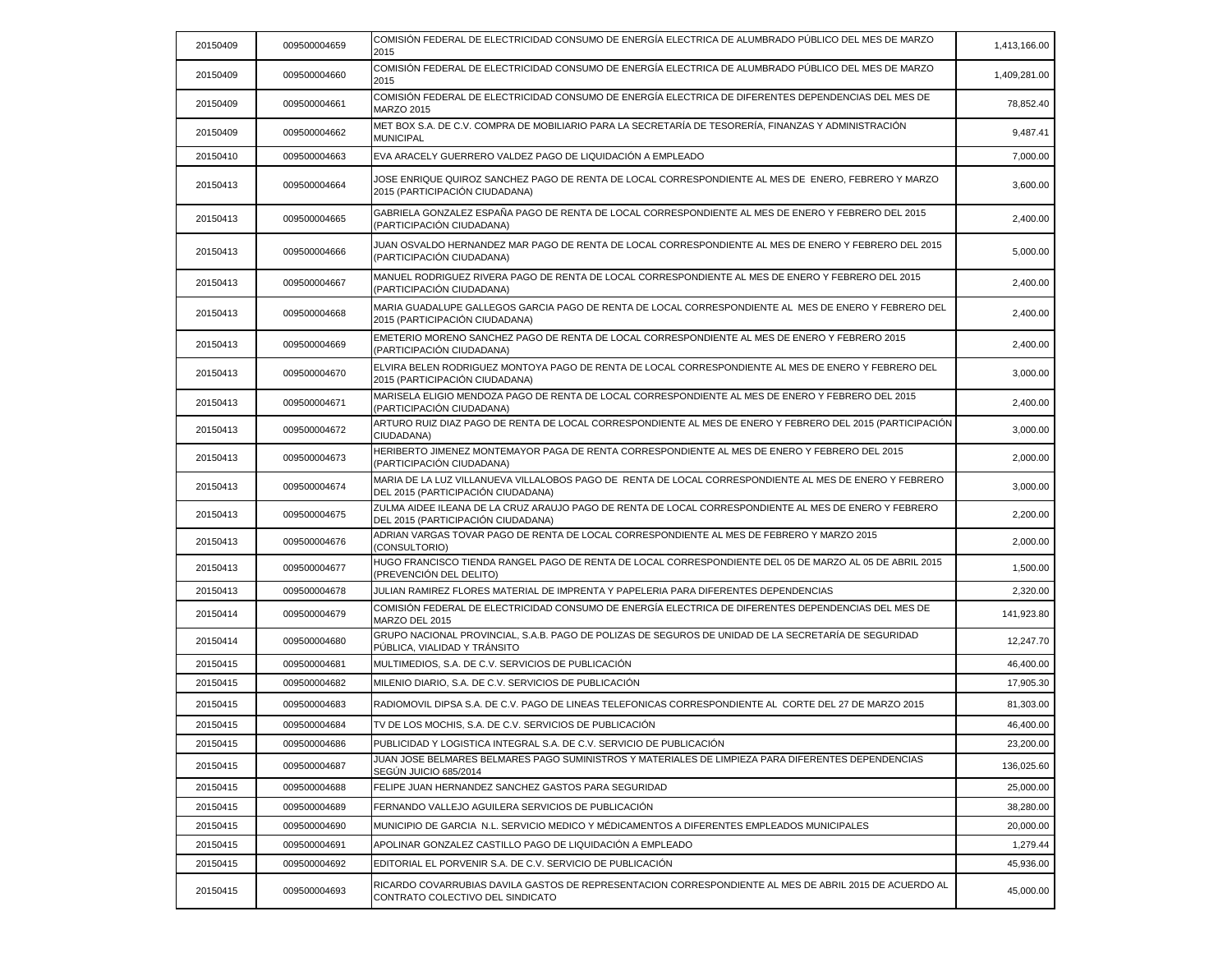| 20150409 | 009500004659 | COMISIÓN FEDERAL DE ELECTRICIDAD CONSUMO DE ENERGÍA ELECTRICA DE ALUMBRADO PÚBLICO DEL MES DE MARZO<br>2015                                  | 1,413,166.00 |
|----------|--------------|----------------------------------------------------------------------------------------------------------------------------------------------|--------------|
| 20150409 | 009500004660 | COMISIÓN FEDERAL DE ELECTRICIDAD CONSUMO DE ENERGÍA ELECTRICA DE ALUMBRADO PÚBLICO DEL MES DE MARZO<br>2015                                  | 1,409,281.00 |
| 20150409 | 009500004661 | COMISIÓN FEDERAL DE ELECTRICIDAD CONSUMO DE ENERGÍA ELECTRICA DE DIFERENTES DEPENDENCIAS DEL MES DE<br><b>MARZO 2015</b>                     | 78,852.40    |
| 20150409 | 009500004662 | MET BOX S.A. DE C.V. COMPRA DE MOBILIARIO PARA LA SECRETARÍA DE TESORERÍA, FINANZAS Y ADMINISTRACIÓN<br><b>MUNICIPAL</b>                     | 9,487.41     |
| 20150410 | 009500004663 | EVA ARACELY GUERRERO VALDEZ PAGO DE LIQUIDACIÓN A EMPLEADO                                                                                   | 7,000.00     |
| 20150413 | 009500004664 | JOSE ENRIQUE QUIROZ SANCHEZ PAGO DE RENTA DE LOCAL CORRESPONDIENTE AL MES DE ENERO, FEBRERO Y MARZO<br>2015 (PARTICIPACIÓN CIUDADANA)        | 3,600.00     |
| 20150413 | 009500004665 | GABRIELA GONZALEZ ESPAÑA PAGO DE RENTA DE LOCAL CORRESPONDIENTE AL MES DE ENERO Y FEBRERO DEL 2015<br>(PARTICIPACIÓN CIUDADANA)              | 2,400.00     |
| 20150413 | 009500004666 | JUAN OSVALDO HERNANDEZ MAR PAGO DE RENTA DE LOCAL CORRESPONDIENTE AL MES DE ENERO Y FEBRERO DEL 2015<br>(PARTICIPACIÓN CIUDADANA)            | 5,000.00     |
| 20150413 | 009500004667 | MANUEL RODRIGUEZ RIVERA PAGO DE RENTA DE LOCAL CORRESPONDIENTE AL MES DE ENERO Y FEBRERO DEL 2015<br>(PARTICIPACIÓN CIUDADANA)               | 2,400.00     |
| 20150413 | 009500004668 | MARIA GUADALUPE GALLEGOS GARCIA PAGO DE RENTA DE LOCAL CORRESPONDIENTE AL MES DE ENERO Y FEBRERO DEL<br>2015 (PARTICIPACIÓN CIUDADANA)       | 2,400.00     |
| 20150413 | 009500004669 | EMETERIO MORENO SANCHEZ PAGO DE RENTA DE LOCAL CORRESPONDIENTE AL MES DE ENERO Y FEBRERO 2015<br>(PARTICIPACIÓN CIUDADANA)                   | 2,400.00     |
| 20150413 | 009500004670 | ELVIRA BELEN RODRIGUEZ MONTOYA PAGO DE RENTA DE LOCAL CORRESPONDIENTE AL MES DE ENERO Y FEBRERO DEL<br>2015 (PARTICIPACIÓN CIUDADANA)        | 3,000.00     |
| 20150413 | 009500004671 | MARISELA ELIGIO MENDOZA PAGO DE RENTA DE LOCAL CORRESPONDIENTE AL MES DE ENERO Y FEBRERO DEL 2015<br>(PARTICIPACIÓN CIUDADANA)               | 2,400.00     |
| 20150413 | 009500004672 | ARTURO RUIZ DIAZ PAGO DE RENTA DE LOCAL CORRESPONDIENTE AL MES DE ENERO Y FEBRERO DEL 2015 (PARTICIPACIÓN<br>CIUDADANA)                      | 3,000.00     |
| 20150413 | 009500004673 | HERIBERTO JIMENEZ MONTEMAYOR PAGA DE RENTA CORRESPONDIENTE AL MES DE ENERO Y FEBRERO DEL 2015<br>(PARTICIPACIÓN CIUDADANA)                   | 2,000.00     |
| 20150413 | 009500004674 | MARIA DE LA LUZ VILLANUEVA VILLALOBOS PAGO DE RENTA DE LOCAL CORRESPONDIENTE AL MES DE ENERO Y FEBRERO<br>DEL 2015 (PARTICIPACIÓN CIUDADANA) | 3,000.00     |
| 20150413 | 009500004675 | ZULMA AIDEE ILEANA DE LA CRUZ ARAUJO PAGO DE RENTA DE LOCAL CORRESPONDIENTE AL MES DE ENERO Y FEBRERO<br>DEL 2015 (PARTICIPACIÓN CIUDADANA)  | 2,200.00     |
| 20150413 | 009500004676 | ADRIAN VARGAS TOVAR PAGO DE RENTA DE LOCAL CORRESPONDIENTE AL MES DE FEBRERO Y MARZO 2015<br>(CONSULTORIO)                                   | 2,000.00     |
| 20150413 | 009500004677 | HUGO FRANCISCO TIENDA RANGEL PAGO DE RENTA DE LOCAL CORRESPONDIENTE DEL 05 DE MARZO AL 05 DE ABRIL 2015<br>(PREVENCIÓN DEL DELITO)           | 1,500.00     |
| 20150413 | 009500004678 | JULIAN RAMIREZ FLORES MATERIAL DE IMPRENTA Y PAPELERIA PARA DIFERENTES DEPENDENCIAS                                                          | 2,320.00     |
| 20150414 | 009500004679 | ICOMISIÓN FEDERAL DE ELECTRICIDAD CONSUMO DE ENERGÍA ELECTRICA DE DIFERENTES DEPENDENCIAS DEL MES DE<br>MARZO DEL 2015                       | 141,923.80   |
| 20150414 | 009500004680 | GRUPO NACIONAL PROVINCIAL, S.A.B. PAGO DE POLIZAS DE SEGUROS DE UNIDAD DE LA SECRETARÍA DE SEGURIDAD<br>PÚBLICA. VIALIDAD Y TRÁNSITO         | 12,247.70    |
| 20150415 | 009500004681 | MULTIMEDIOS, S.A. DE C.V. SERVICIOS DE PUBLICACIÓN                                                                                           | 46,400.00    |
| 20150415 | 009500004682 | MILENIO DIARIO, S.A. DE C.V. SERVICIOS DE PUBLICACIÓN                                                                                        | 17,905.30    |
| 20150415 | 009500004683 | RADIOMOVIL DIPSA S.A. DE C.V. PAGO DE LINEAS TELEFONICAS CORRESPONDIENTE AL CORTE DEL 27 DE MARZO 2015                                       | 81,303.00    |
| 20150415 | 009500004684 | TV DE LOS MOCHIS, S.A. DE C.V. SERVICIOS DE PUBLICACIÓN                                                                                      | 46.400.00    |
| 20150415 | 009500004686 | PUBLICIDAD Y LOGISTICA INTEGRAL S.A. DE C.V. SERVICIO DE PUBLICACIÓN                                                                         | 23,200.00    |
| 20150415 | 009500004687 | JUAN JOSE BELMARES BELMARES PAGO SUMINISTROS Y MATERIALES DE LIMPIEZA PARA DIFERENTES DEPENDENCIAS<br>SEGUN JUICIO 685/2014                  | 136,025.60   |
| 20150415 | 009500004688 | FELIPE JUAN HERNANDEZ SANCHEZ GASTOS PARA SEGURIDAD                                                                                          | 25,000.00    |
| 20150415 | 009500004689 | FERNANDO VALLEJO AGUILERA SERVICIOS DE PUBLICACIÓN                                                                                           | 38,280.00    |
| 20150415 | 009500004690 | MUNICIPIO DE GARCIA N.L. SERVICIO MEDICO Y MÉDICAMENTOS A DIFERENTES EMPLEADOS MUNICIPALES                                                   | 20,000.00    |
| 20150415 | 009500004691 | APOLINAR GONZALEZ CASTILLO PAGO DE LIQUIDACIÓN A EMPLEADO                                                                                    | 1,279.44     |
| 20150415 | 009500004692 | EDITORIAL EL PORVENIR S.A. DE C.V. SERVICIO DE PUBLICACIÓN                                                                                   | 45,936.00    |
| 20150415 | 009500004693 | RICARDO COVARRUBIAS DAVILA GASTOS DE REPRESENTACION CORRESPONDIENTE AL MES DE ABRIL 2015 DE ACUERDO AL<br>CONTRATO COLECTIVO DEL SINDICATO   | 45,000.00    |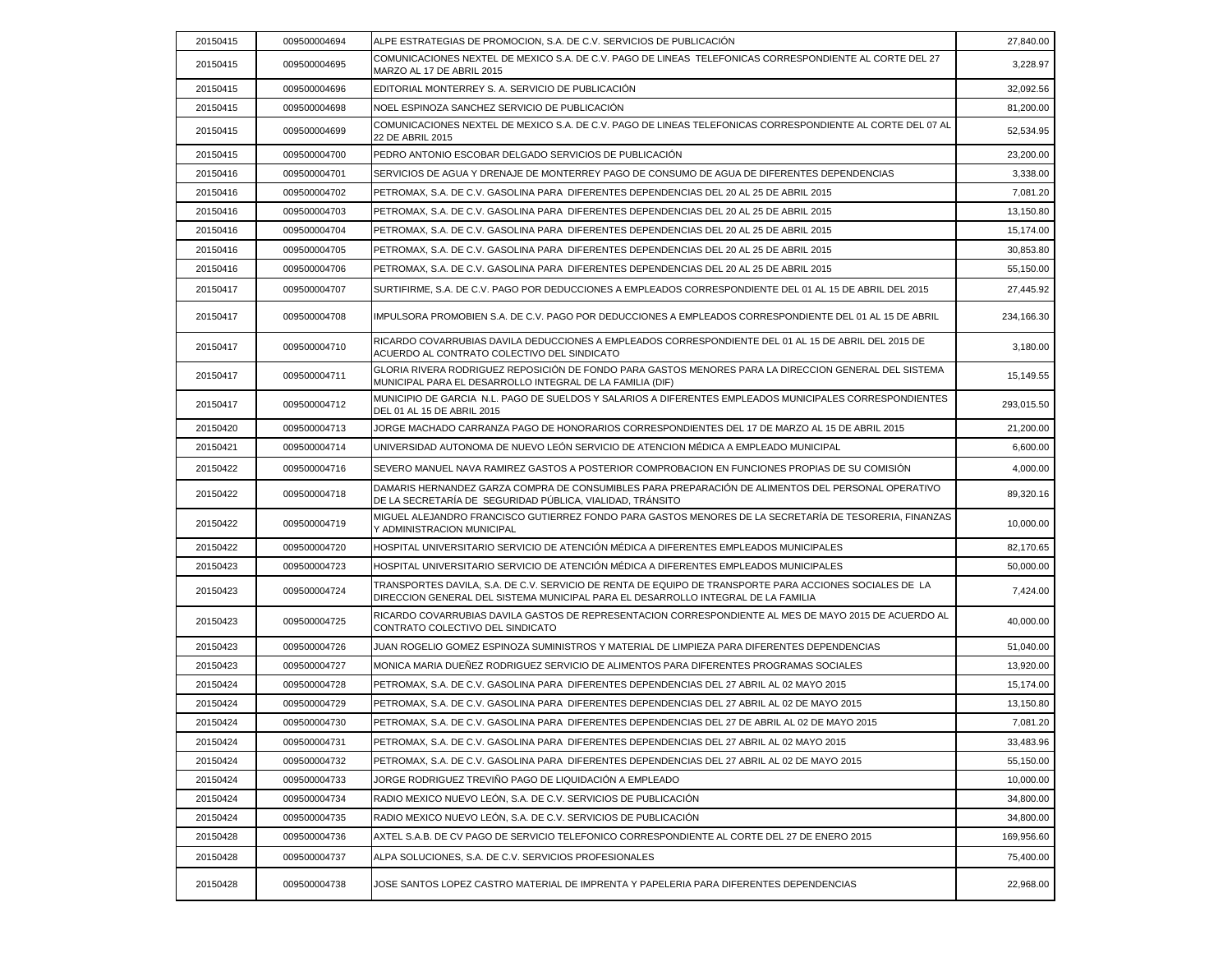| 20150415 | 009500004694 | ALPE ESTRATEGIAS DE PROMOCION, S.A. DE C.V. SERVICIOS DE PUBLICACIÓN                                                                                                                         | 27,840.00  |
|----------|--------------|----------------------------------------------------------------------------------------------------------------------------------------------------------------------------------------------|------------|
| 20150415 | 009500004695 | COMUNICACIONES NEXTEL DE MEXICO S.A. DE C.V. PAGO DE LINEAS TELEFONICAS CORRESPONDIENTE AL CORTE DEL 27<br>MARZO AL 17 DE ABRIL 2015                                                         | 3,228.97   |
| 20150415 | 009500004696 | EDITORIAL MONTERREY S. A. SERVICIO DE PUBLICACIÓN                                                                                                                                            | 32,092.56  |
| 20150415 | 009500004698 | NOEL ESPINOZA SANCHEZ SERVICIO DE PUBLICACIÓN                                                                                                                                                | 81,200.00  |
| 20150415 | 009500004699 | COMUNICACIONES NEXTEL DE MEXICO S.A. DE C.V. PAGO DE LINEAS TELEFONICAS CORRESPONDIENTE AL CORTE DEL 07 AL<br>22 DE ABRIL 2015                                                               | 52,534.95  |
| 20150415 | 009500004700 | PEDRO ANTONIO ESCOBAR DELGADO SERVICIOS DE PUBLICACIÓN                                                                                                                                       | 23,200.00  |
| 20150416 | 009500004701 | SERVICIOS DE AGUA Y DRENAJE DE MONTERREY PAGO DE CONSUMO DE AGUA DE DIFERENTES DEPENDENCIAS                                                                                                  | 3,338.00   |
| 20150416 | 009500004702 | PETROMAX, S.A. DE C.V. GASOLINA PARA DIFERENTES DEPENDENCIAS DEL 20 AL 25 DE ABRIL 2015                                                                                                      | 7,081.20   |
| 20150416 | 009500004703 | PETROMAX, S.A. DE C.V. GASOLINA PARA DIFERENTES DEPENDENCIAS DEL 20 AL 25 DE ABRIL 2015                                                                                                      | 13,150.80  |
| 20150416 | 009500004704 | PETROMAX, S.A. DE C.V. GASOLINA PARA DIFERENTES DEPENDENCIAS DEL 20 AL 25 DE ABRIL 2015                                                                                                      | 15,174.00  |
| 20150416 | 009500004705 | PETROMAX, S.A. DE C.V. GASOLINA PARA DIFERENTES DEPENDENCIAS DEL 20 AL 25 DE ABRIL 2015                                                                                                      | 30,853.80  |
| 20150416 | 009500004706 | PETROMAX, S.A. DE C.V. GASOLINA PARA DIFERENTES DEPENDENCIAS DEL 20 AL 25 DE ABRIL 2015                                                                                                      | 55,150.00  |
| 20150417 | 009500004707 | SURTIFIRME, S.A. DE C.V. PAGO POR DEDUCCIONES A EMPLEADOS CORRESPONDIENTE DEL 01 AL 15 DE ABRIL DEL 2015                                                                                     | 27,445.92  |
| 20150417 | 009500004708 | IMPULSORA PROMOBIEN S.A. DE C.V. PAGO POR DEDUCCIONES A EMPLEADOS CORRESPONDIENTE DEL 01 AL 15 DE ABRIL                                                                                      | 234,166.30 |
| 20150417 | 009500004710 | RICARDO COVARRUBIAS DAVILA DEDUCCIONES A EMPLEADOS CORRESPONDIENTE DEL 01 AL 15 DE ABRIL DEL 2015 DE<br>ACUERDO AL CONTRATO COLECTIVO DEL SINDICATO                                          | 3,180.00   |
| 20150417 | 009500004711 | GLORIA RIVERA RODRIGUEZ REPOSICIÓN DE FONDO PARA GASTOS MENORES PARA LA DIRECCION GENERAL DEL SISTEMA<br>MUNICIPAL PARA EL DESARROLLO INTEGRAL DE LA FAMILIA (DIF)                           | 15,149.55  |
| 20150417 | 009500004712 | MUNICIPIO DE GARCIA N.L. PAGO DE SUELDOS Y SALARIOS A DIFERENTES EMPLEADOS MUNICIPALES CORRESPONDIENTES<br>DEL 01 AL 15 DE ABRIL 2015                                                        | 293,015.50 |
| 20150420 | 009500004713 | JORGE MACHADO CARRANZA PAGO DE HONORARIOS CORRESPONDIENTES DEL 17 DE MARZO AL 15 DE ABRIL 2015                                                                                               | 21,200.00  |
| 20150421 | 009500004714 | UNIVERSIDAD AUTONOMA DE NUEVO LEÓN SERVICIO DE ATENCION MÉDICA A EMPLEADO MUNICIPAL                                                                                                          | 6,600.00   |
| 20150422 | 009500004716 | SEVERO MANUEL NAVA RAMIREZ GASTOS A POSTERIOR COMPROBACION EN FUNCIONES PROPIAS DE SU COMISIÓN                                                                                               | 4,000.00   |
| 20150422 | 009500004718 | DAMARIS HERNANDEZ GARZA COMPRA DE CONSUMIBLES PARA PREPARACIÓN DE ALIMENTOS DEL PERSONAL OPERATIVO<br>DE LA SECRETARÍA DE SEGURIDAD PÚBLICA, VIALIDAD, TRÁNSITO                              | 89,320.16  |
| 20150422 | 009500004719 | MIGUEL ALEJANDRO FRANCISCO GUTIERREZ FONDO PARA GASTOS MENORES DE LA SECRETARÍA DE TESORERIA, FINANZAS<br>Y ADMINISTRACION MUNICIPAL                                                         | 10,000.00  |
| 20150422 | 009500004720 | HOSPITAL UNIVERSITARIO SERVICIO DE ATENCIÓN MÉDICA A DIFERENTES EMPLEADOS MUNICIPALES                                                                                                        | 82,170.65  |
| 20150423 | 009500004723 | HOSPITAL UNIVERSITARIO SERVICIO DE ATENCIÓN MÉDICA A DIFERENTES EMPLEADOS MUNICIPALES                                                                                                        | 50.000.00  |
| 20150423 | 009500004724 | TRANSPORTES DAVILA, S.A. DE C.V. SERVICIO DE RENTA DE EQUIPO DE TRANSPORTE PARA ACCIONES SOCIALES DE LA<br>DIRECCION GENERAL DEL SISTEMA MUNICIPAL PARA EL DESARROLLO INTEGRAL DE LA FAMILIA | 7,424.00   |
| 20150423 | 009500004725 | RICARDO COVARRUBIAS DAVILA GASTOS DE REPRESENTACION CORRESPONDIENTE AL MES DE MAYO 2015 DE ACUERDO AL<br>CONTRATO COLECTIVO DEL SINDICATO                                                    | 40,000.00  |
| 20150423 | 009500004726 | JUAN ROGELIO GOMEZ ESPINOZA SUMINISTROS Y MATERIAL DE LIMPIEZA PARA DIFERENTES DEPENDENCIAS                                                                                                  | 51,040.00  |
| 20150423 | 009500004727 | MONICA MARIA DUEÑEZ RODRIGUEZ SERVICIO DE ALIMENTOS PARA DIFERENTES PROGRAMAS SOCIALES                                                                                                       | 13,920.00  |
| 20150424 | 009500004728 | PETROMAX, S.A. DE C.V. GASOLINA PARA DIFERENTES DEPENDENCIAS DEL 27 ABRIL AL 02 MAYO 2015                                                                                                    | 15,174.00  |
| 20150424 | 009500004729 | PETROMAX, S.A. DE C.V. GASOLINA PARA DIFERENTES DEPENDENCIAS DEL 27 ABRIL AL 02 DE MAYO 2015                                                                                                 | 13,150.80  |
| 20150424 | 009500004730 | PETROMAX, S.A. DE C.V. GASOLINA PARA DIFERENTES DEPENDENCIAS DEL 27 DE ABRIL AL 02 DE MAYO 2015                                                                                              | 7,081.20   |
| 20150424 | 009500004731 | PETROMAX, S.A. DE C.V. GASOLINA PARA DIFERENTES DEPENDENCIAS DEL 27 ABRIL AL 02 MAYO 2015                                                                                                    | 33,483.96  |
| 20150424 | 009500004732 | PETROMAX, S.A. DE C.V. GASOLINA PARA DIFERENTES DEPENDENCIAS DEL 27 ABRIL AL 02 DE MAYO 2015                                                                                                 | 55,150.00  |
| 20150424 | 009500004733 | JORGE RODRIGUEZ TREVIÑO PAGO DE LIQUIDACIÓN A EMPLEADO                                                                                                                                       | 10,000.00  |
| 20150424 | 009500004734 | RADIO MEXICO NUEVO LEÓN, S.A. DE C.V. SERVICIOS DE PUBLICACIÓN                                                                                                                               | 34,800.00  |
| 20150424 | 009500004735 | RADIO MEXICO NUEVO LEÓN, S.A. DE C.V. SERVICIOS DE PUBLICACIÓN                                                                                                                               | 34,800.00  |
| 20150428 | 009500004736 | AXTEL S.A.B. DE CV PAGO DE SERVICIO TELEFONICO CORRESPONDIENTE AL CORTE DEL 27 DE ENERO 2015                                                                                                 | 169,956.60 |
| 20150428 | 009500004737 | ALPA SOLUCIONES, S.A. DE C.V. SERVICIOS PROFESIONALES                                                                                                                                        | 75,400.00  |
| 20150428 | 009500004738 | JOSE SANTOS LOPEZ CASTRO MATERIAL DE IMPRENTA Y PAPELERIA PARA DIFERENTES DEPENDENCIAS                                                                                                       | 22,968.00  |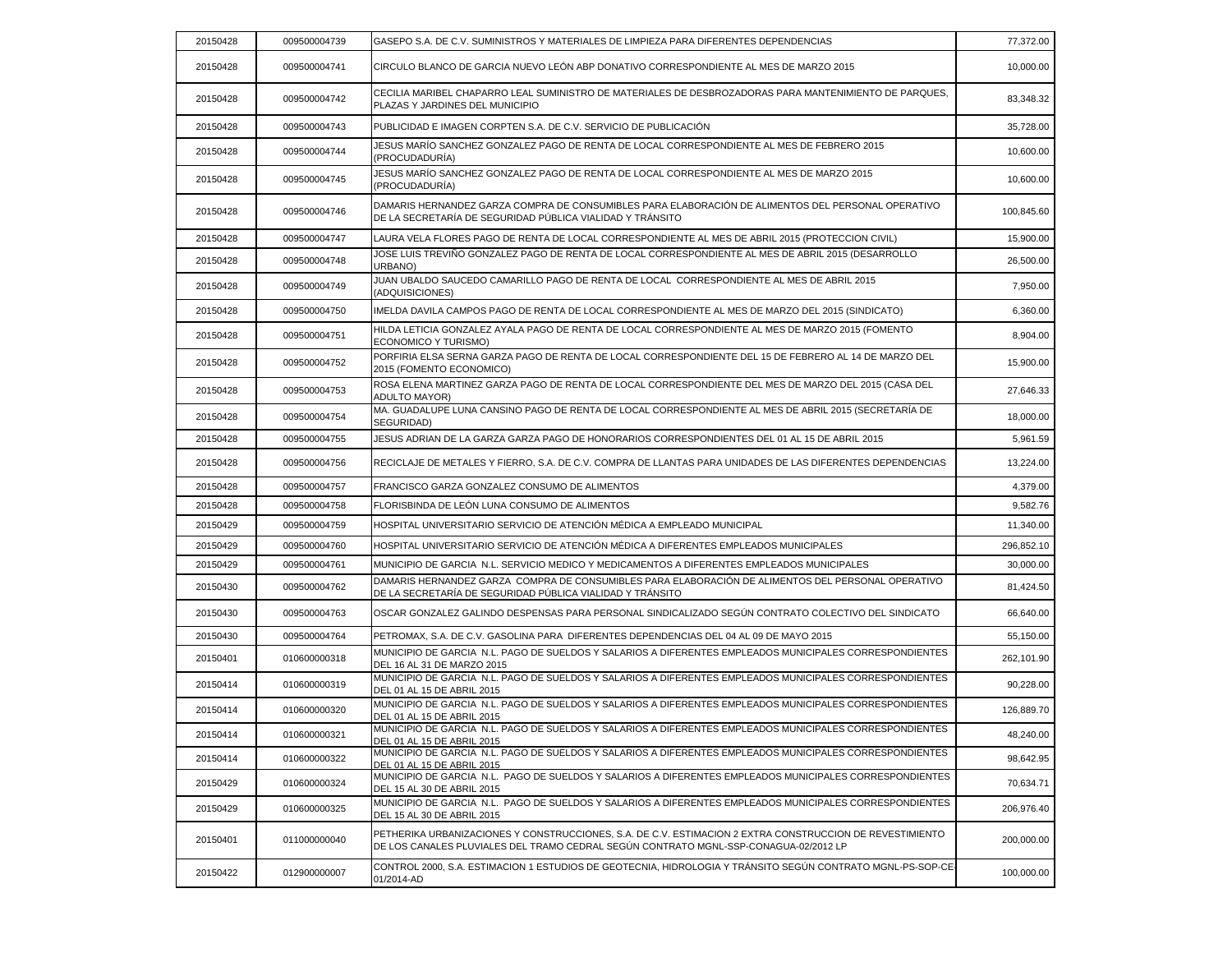| 20150428 | 009500004739 | GASEPO S.A. DE C.V. SUMINISTROS Y MATERIALES DE LIMPIEZA PARA DIFERENTES DEPENDENCIAS                                                                                                            | 77,372.00  |
|----------|--------------|--------------------------------------------------------------------------------------------------------------------------------------------------------------------------------------------------|------------|
| 20150428 | 009500004741 | CIRCULO BLANCO DE GARCIA NUEVO LEÓN ABP DONATIVO CORRESPONDIENTE AL MES DE MARZO 2015                                                                                                            | 10,000.00  |
| 20150428 | 009500004742 | CECILIA MARIBEL CHAPARRO LEAL SUMINISTRO DE MATERIALES DE DESBROZADORAS PARA MANTENIMIENTO DE PARQUES.<br>PLAZAS Y JARDINES DEL MUNICIPIO                                                        | 83,348.32  |
| 20150428 | 009500004743 | PUBLICIDAD E IMAGEN CORPTEN S.A. DE C.V. SERVICIO DE PUBLICACIÓN                                                                                                                                 | 35,728.00  |
| 20150428 | 009500004744 | JESUS MARÍO SANCHEZ GONZALEZ PAGO DE RENTA DE LOCAL CORRESPONDIENTE AL MES DE FEBRERO 2015<br>(PROCUDADURÍA)                                                                                     | 10,600.00  |
| 20150428 | 009500004745 | JESUS MARÍO SANCHEZ GONZALEZ PAGO DE RENTA DE LOCAL CORRESPONDIENTE AL MES DE MARZO 2015<br>(PROCUDADURÍA)                                                                                       | 10,600.00  |
| 20150428 | 009500004746 | DAMARIS HERNANDEZ GARZA COMPRA DE CONSUMIBLES PARA ELABORACIÓN DE ALIMENTOS DEL PERSONAL OPERATIVO<br>DE LA SECRETARÍA DE SEGURIDAD PÚBLICA VIALIDAD Y TRÁNSITO                                  | 100,845.60 |
| 20150428 | 009500004747 | LAURA VELA FLORES PAGO DE RENTA DE LOCAL CORRESPONDIENTE AL MES DE ABRIL 2015 (PROTECCION CIVIL)                                                                                                 | 15,900.00  |
| 20150428 | 009500004748 | JOSE LUIS TREVIÑO GONZALEZ PAGO DE RENTA DE LOCAL CORRESPONDIENTE AL MES DE ABRIL 2015 (DESARROLLO<br>URBANO)                                                                                    | 26,500.00  |
| 20150428 | 009500004749 | JUAN UBALDO SAUCEDO CAMARILLO PAGO DE RENTA DE LOCAL CORRESPONDIENTE AL MES DE ABRIL 2015<br>(ADQUISICIONES)                                                                                     | 7,950.00   |
| 20150428 | 009500004750 | IMELDA DAVILA CAMPOS PAGO DE RENTA DE LOCAL CORRESPONDIENTE AL MES DE MARZO DEL 2015 (SINDICATO)                                                                                                 | 6,360.00   |
| 20150428 | 009500004751 | HILDA LETICIA GONZALEZ AYALA PAGO DE RENTA DE LOCAL CORRESPONDIENTE AL MES DE MARZO 2015 (FOMENTO<br>ECONOMICO Y TURISMO)                                                                        | 8,904.00   |
| 20150428 | 009500004752 | PORFIRIA ELSA SERNA GARZA PAGO DE RENTA DE LOCAL CORRESPONDIENTE DEL 15 DE FEBRERO AL 14 DE MARZO DEL<br>2015 (FOMENTO ECONOMICO)                                                                | 15,900.00  |
| 20150428 | 009500004753 | ROSA ELENA MARTINEZ GARZA PAGO DE RENTA DE LOCAL CORRESPONDIENTE DEL MES DE MARZO DEL 2015 (CASA DEL<br><b>ADULTO MAYOR)</b>                                                                     | 27,646.33  |
| 20150428 | 009500004754 | MA. GUADALUPE LUNA CANSINO PAGO DE RENTA DE LOCAL CORRESPONDIENTE AL MES DE ABRIL 2015 (SECRETARÍA DE<br>SEGURIDAD)                                                                              | 18,000.00  |
| 20150428 | 009500004755 | JESUS ADRIAN DE LA GARZA GARZA PAGO DE HONORARIOS CORRESPONDIENTES DEL 01 AL 15 DE ABRIL 2015                                                                                                    | 5,961.59   |
| 20150428 | 009500004756 | RECICLAJE DE METALES Y FIERRO, S.A. DE C.V. COMPRA DE LLANTAS PARA UNIDADES DE LAS DIFERENTES DEPENDENCIAS                                                                                       | 13,224.00  |
| 20150428 | 009500004757 | FRANCISCO GARZA GONZALEZ CONSUMO DE ALIMENTOS                                                                                                                                                    | 4,379.00   |
| 20150428 | 009500004758 | FLORISBINDA DE LEÓN LUNA CONSUMO DE ALIMENTOS                                                                                                                                                    | 9,582.76   |
| 20150429 | 009500004759 | HOSPITAL UNIVERSITARIO SERVICIO DE ATENCIÓN MÉDICA A EMPLEADO MUNICIPAL                                                                                                                          | 11,340.00  |
| 20150429 | 009500004760 | HOSPITAL UNIVERSITARIO SERVICIO DE ATENCIÓN MÉDICA A DIFERENTES EMPLEADOS MUNICIPALES                                                                                                            | 296,852.10 |
| 20150429 | 009500004761 | MUNICIPIO DE GARCIA N.L. SERVICIO MEDICO Y MEDICAMENTOS A DIFERENTES EMPLEADOS MUNICIPALES                                                                                                       | 30,000.00  |
| 20150430 | 009500004762 | DAMARIS HERNANDEZ GARZA COMPRA DE CONSUMIBLES PARA ELABORACIÓN DE ALIMENTOS DEL PERSONAL OPERATIVO<br>DE LA SECRETARÍA DE SEGURIDAD PÚBLICA VIALIDAD Y TRÁNSITO                                  | 81,424.50  |
| 20150430 | 009500004763 | OSCAR GONZALEZ GALINDO DESPENSAS PARA PERSONAL SINDICALIZADO SEGÚN CONTRATO COLECTIVO DEL SINDICATO                                                                                              | 66,640.00  |
| 20150430 | 009500004764 | PETROMAX, S.A. DE C.V. GASOLINA PARA DIFERENTES DEPENDENCIAS DEL 04 AL 09 DE MAYO 2015                                                                                                           | 55,150.00  |
| 20150401 | 010600000318 | MUNICIPIO DE GARCIA N.L. PAGO DE SUELDOS Y SALARIOS A DIFERENTES EMPLEADOS MUNICIPALES CORRESPONDIENTES<br>DEL 16 AL 31 DE MARZO 2015                                                            | 262,101.90 |
| 20150414 | 010600000319 | MUNICIPIO DE GARCIA N.L. PAGO DE SUELDOS Y SALARIOS A DIFERENTES EMPLEADOS MUNICIPALES CORRESPONDIENTES<br>DEL 01 AL 15 DE ABRIL 2015                                                            | 90,228.00  |
| 20150414 | 010600000320 | MUNICIPIO DE GARCIA N.L. PAGO DE SUELDOS Y SALARIOS A DIFERENTES EMPLEADOS MUNICIPALES CORRESPONDIENTES<br>DEL 01 AL 15 DE ABRIL 2015                                                            | 126,889.70 |
| 20150414 | 010600000321 | MUNICIPIO DE GARCIA N.L. PAGO DE SUELDOS Y SALARIOS A DIFERENTES EMPLEADOS MUNICIPALES CORRESPONDIENTES<br>DEL 01 AL 15 DE ABRIL 2015                                                            | 48,240.00  |
| 20150414 | 010600000322 | MUNICIPIO DE GARCIA N.L. PAGO DE SUELDOS Y SALARIOS A DIFERENTES EMPLEADOS MUNICIPALES CORRESPONDIENTES<br>DEL 01 AL 15 DE ABRIL 2015                                                            | 98,642.95  |
| 20150429 | 010600000324 | MUNICIPIO DE GARCIA N.L. PAGO DE SUELDOS Y SALARIOS A DIFERENTES EMPLEADOS MUNICIPALES CORRESPONDIENTES<br>DEL 15 AL 30 DE ABRIL 2015                                                            | 70,634.71  |
| 20150429 | 010600000325 | MUNICIPIO DE GARCIA N.L. PAGO DE SUELDOS Y SALARIOS A DIFERENTES EMPLEADOS MUNICIPALES CORRESPONDIENTES<br>DEL 15 AL 30 DE ABRIL 2015                                                            | 206,976.40 |
| 20150401 | 011000000040 | PETHERIKA URBANIZACIONES Y CONSTRUCCIONES, S.A. DE C.V. ESTIMACION 2 EXTRA CONSTRUCCION DE REVESTIMIENTO<br>DE LOS CANALES PLUVIALES DEL TRAMO CEDRAL SEGUN CONTRATO MGNL-SSP-CONAGUA-02/2012 LP | 200,000.00 |
| 20150422 | 012900000007 | CONTROL 2000, S.A. ESTIMACION 1 ESTUDIOS DE GEOTECNIA, HIDROLOGIA Y TRÂNSITO SEGÚN CONTRATO MGNL-PS-SOP-CE-<br>01/2014-AD                                                                        | 100,000.00 |